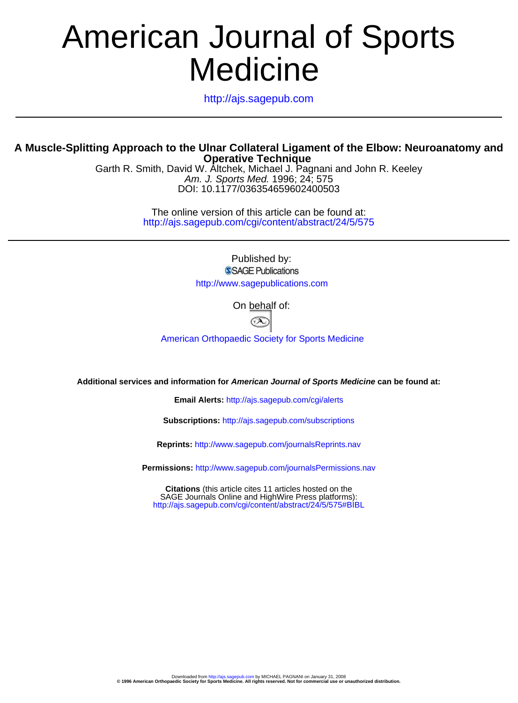# **Medicine** American Journal of Sports

http://ajs.sagepub.com

#### **Operative Technique A Muscle-Splitting Approach to the Ulnar Collateral Ligament of the Elbow: Neuroanatomy and**

DOI: 10.1177/036354659602400503 Am. J. Sports Med. 1996; 24; 575 Garth R. Smith, David W. Altchek, Michael J. Pagnani and John R. Keeley

> http://ajs.sagepub.com/cgi/content/abstract/24/5/575 The online version of this article can be found at:

> > Published by: SSAGE Publications http://www.sagepublications.com

> > > On behalf of:



[American Orthopaedic Society for Sports Medicine](http://www.aossm.org)

**Additional services and information for American Journal of Sports Medicine can be found at:**

**Email Alerts:** <http://ajs.sagepub.com/cgi/alerts>

**Subscriptions:** <http://ajs.sagepub.com/subscriptions>

**Reprints:** <http://www.sagepub.com/journalsReprints.nav>

**Permissions:** <http://www.sagepub.com/journalsPermissions.nav>

<http://ajs.sagepub.com/cgi/content/abstract/24/5/575#BIBL> SAGE Journals Online and HighWire Press platforms): **Citations** (this article cites 11 articles hosted on the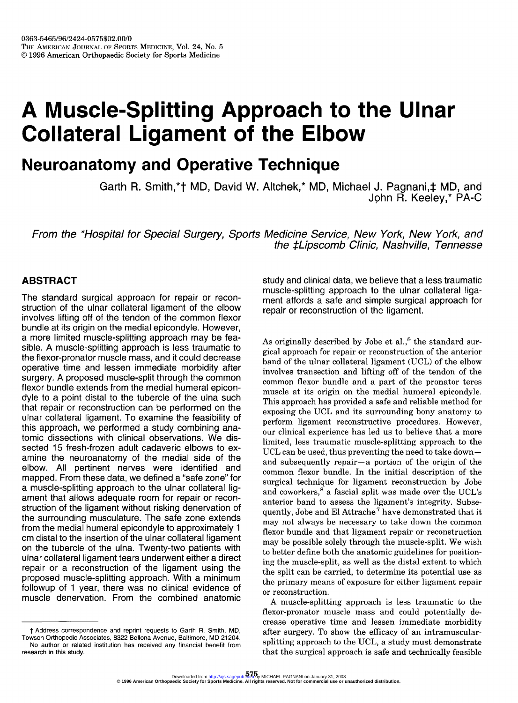## A Muscle-Splitting Approach to the Ulnar Collateral Ligament of the Elbow

### Neuroanatomy and Operative Technique

Garth R. Smith,\*† MD, David W. Altchek,\* MD, Michael J. Pagnani,‡ MD, and John R. Keeley,\* PA-C

From the \*Hospital for Special Surgery, Sports Medicine Service, New York, New York, and the ‡Lipscomb Clinic, Nashville, Tennesse

#### ABSTRACT

The standard surgical approach for repair or reconstruction of the ulnar collateral ligament of the elbow involves lifting off of the tendon of the common flexor bundle at its origin on the medial epicondyle. However, a more limited muscle-splitting approach may be feasible. A muscle-splitting approach is less traumatic to the flexor-pronator muscle mass, and it could decrease operative time and lessen immediate morbidity after surgery. A proposed muscle-split through the common flexor bundle extends from the medial humeral epicondyle to a point distal to the tubercle of the ulna such that repair or reconstruction can be performed on the ulnar collateral ligament. To examine the feasibility of this approach, we performed a study combining anatomic dissections with clinical observations. We dissected 15 fresh-frozen adult cadaveric elbows to examine the neuroanatomy of the medial side of the elbow. All pertinent nerves were identified and mapped. From these data, we defined a "safe zone" for a muscle-splitting approach to the ulnar collateral ligament that allows adequate room for repair or reconstruction of the ligament without risking denervation of the surrounding musculature. The safe zone extends from the medial humeral epicondyle to approximately 1 cm distal to the insertion of the ulnar collateral ligament on the tubercle of the ulna. Twenty-two patients with ulnar collateral ligament tears underwent either a direct repair or a reconstruction of the ligament using the proposed muscle-splitting approach. With a minimum followup of 1 year, there was no clinical evidence of muscle denervation. From the combined anatomic

t Address correspondence and repnnt requests to Garth R Smith, MD, Towson Orthopedic Associates, 8322 Bellona Avenue, Baltimore, MD 21204 No author or related institution has received any financial benefit from research in this study

study and clinical data, we believe that a less traumatic muscle-splitting approach to the ulnar collateral ligament affords a safe and simple surgical approach for repair or reconstruction of the ligament.

As originally described by Jobe et al., $<sup>8</sup>$  the standard sur-</sup> gical approach for repair or reconstruction of the anterior band of the ulnar collateral ligament (UCL) of the elbow involves transection and lifting off of the tendon of the common flexor bundle and a part of the pronator teres muscle at its origin on the medial humeral epicondyle. This approach has provided a safe and reliable method for exposing the UCL and its surrounding bony anatomy to perform ligament reconstructive procedures. However, our clinical experience has led us to believe that a more limited, less traumatic muscle-splitting approach to the UCL can be used, thus preventing the need to take downand subsequently repair-a portion of the origin of the common flexor bundle. In the initial description of the surgical technique for ligament reconstruction by Jobe and coworkers,<sup>8</sup> a fascial split was made over the UCL's anterior band to assess the ligament's integrity. Subsequently, Jobe and El Attrache<sup>7</sup> have demonstrated that it may not always be necessary to take down the common flexor bundle and that ligament repair or reconstruction may be possible solely through the muscle-split. We wish to better define both the anatomic guidelines for positioning the muscle-split, as well as the distal extent to which the split can be carried, to determine its potential use as the primary means of exposure for either ligament repair or reconstruction.

A muscle-splitting approach is less traumatic to the flexor-pronator muscle mass and could potentially decrease operative time and lessen immediate morbidity after surgery. To show the efficacy of an intramuscularsplitting approach to the UCL, a study must demonstrate that the surgical approach is safe and technically feasible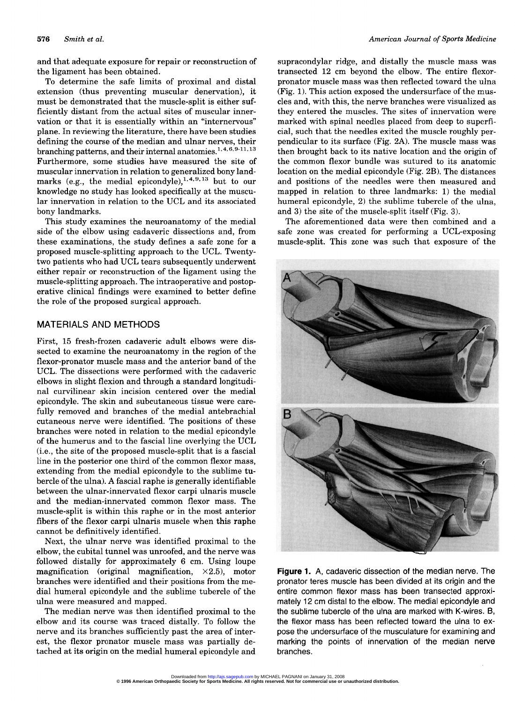and that adequate exposure for repair or reconstruction of the ligament has been obtained.

To determine the safe limits of proximal and distal extension (thus preventing muscular denervation), it must be demonstrated that the muscle-split is either sufficiently distant from the actual sites of muscular innervation or that it is essentially within an "internervous" plane. In reviewing the literature, there have been studies defining the course of the median and ulnar nerves, their branching patterns, and their internal anatomies.<sup>1,4,6,9-11,13</sup> Furthermore, some studies have measured the site of muscular innervation in relation to generalized bony landmarks (e.g., the medial epicondyle),  $1, 4, 9, 13$  but to our knowledge no study has looked specifically at the muscular innervation in relation to the UCL and its associated bony landmarks.

This study examines the neuroanatomy of the medial side of the elbow using cadaveric dissections and, from these examinations, the study defines a safe zone for a proposed muscle-splitting approach to the UCL. Twentytwo patients who had UCL tears subsequently underwent either repair or reconstruction of the ligament using the muscle-splitting approach. The intraoperative and postoperative clinical findings were examined to better define the role of the proposed surgical approach.

#### MATERIALS AND METHODS

First, 15 fresh-frozen cadaveric adult elbows were dissected to examine the neuroanatomy in the region of the flexor-pronator muscle mass and the anterior band of the UCL. The dissections were performed with the cadaveric elbows in slight flexion and through a standard longitudinal curvilinear skin incision centered over the medial epicondyle. The skin and subcutaneous tissue were carefully removed and branches of the medial antebrachial cutaneous nerve were identified. The positions of these branches were noted in relation to the medial epicondyle of the humerus and to the fascial line overlying the UCL (i.e., the site of the proposed muscle-split that is a fascial line in the posterior one third of the common flexor mass, extending from the medial epicondyle to the sublime tubercle of the ulna). A fascial raphe is generally identifiable between the ulnar-innervated flexor carpi ulnaris muscle and the median-innervated common flexor mass. The muscle-split is within this raphe or in the most anterior fibers of the flexor carpi ulnaris muscle when this raphe cannot be definitively identified.

Next, the ulnar nerve was identified proximal to the elbow, the cubital tunnel was unroofed, and the nerve was followed distally for approximately 6 cm. Using loupe magnification (original magnification,  $\times$ 2.5), motor branches were identified and their positions from the medial humeral epicondyle and the sublime tubercle of the ulna were measured and mapped.

The median nerve was then identified proximal to the elbow and its course was traced distally. To follow the nerve and its branches sufficiently past the area of interest, the flexor pronator muscle mass was partially detached at its origin on the medial humeral epicondyle and supracondylar ridge, and distally the muscle mass was transected 12 cm beyond the elbow. The entire flexorpronator muscle mass was then reflected toward the ulna (Fig. 1). This action exposed the undersurface of the muscles and, with this, the nerve branches were visualized as they entered the muscles. The sites of innervation were marked with spinal needles placed from deep to superficial, such that the needles exited the muscle roughly perpendicular to its surface (Fig. 2A). The muscle mass was then brought back to its native location and the origin of the common flexor bundle was sutured to its anatomic location on the medial epicondyle (Fig. 2B). The distances and positions of the needles were then measured and mapped in relation to three landmarks: 1) the medial humeral epicondyle, 2) the sublime tubercle of the ulna, and 3) the site of the muscle-split itself (Fig. 3).

The aforementioned data were then combined and a safe zone was created for performing a UCL-exposing muscle-split. This zone was such that exposure of the



Figure 1. A, cadaveric dissection of the median nerve. The pronator teres muscle has been divided at its origin and the entire common flexor mass has been transected approximately 12 cm distal to the elbow. The medial epicondyle and the sublime tubercle of the ulna are marked with K-wires. B, the flexor mass has been reflected toward the ulna to expose the undersurface of the musculature for examining and marking the points of innervation of the median nerve branches.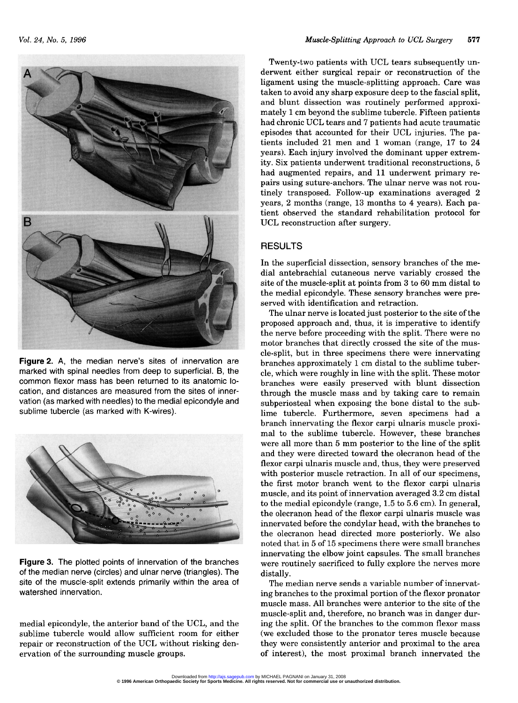

Figure 2. A, the median nerve's sites of innervation are marked with spinal needles from deep to superficial. B, the common flexor mass has been returned to its anatomic location, and distances are measured from the sites of innervation (as marked with needles) to the medial epicondyle and sublime tubercle (as marked with K-wires).



Figure 3. The plotted points of innervation of the branches of the median nerve (circles) and ulnar nerve (triangles). The site of the muscle-split extends primarily within the area of watershed innervation.

medial epicondyle, the anterior band of the UCL, and the sublime tubercle would allow sufficient room for either repair or reconstruction of the UCL without risking denervation of the surrounding muscle groups.

Twenty-two patients with UCL tears subsequently underwent either surgical repair or reconstruction of the ligament using the muscle-splitting approach. Care was taken to avoid any sharp exposure deep to the fascial split, and blunt dissection was routinely performed approximately 1 cm beyond the sublime tubercle. Fifteen patients had chronic UCL tears and 7 patients had acute traumatic episodes that accounted for their UCL injuries. The patients included 21 men and 1 woman (range, 17 to 24 years). Each injury involved the dominant upper extremity. Six patients underwent traditional reconstructions, 5 had augmented repairs, and 11 underwent primary repairs using suture-anchors. The ulnar nerve was not routinely transposed. Follow-up examinations averaged 2 years, 2 months (range, 13 months to 4 years). Each patient observed the standard rehabilitation protocol for UCL reconstruction after surgery.

#### **RESULTS**

In the superficial dissection, sensory branches of the medial antebrachial cutaneous nerve variably crossed the site of the muscle-split at points from 3 to 60 mm distal to the medial epicondyle. These sensory branches were preserved with identification and retraction.

The ulnar nerve is located just posterior to the site of the proposed approach and, thus, it is imperative to identify the nerve before proceeding with the split. There were no motor branches that directly crossed the site of the muscle-split, but in three specimens there were innervating branches approximately 1 cm distal to the sublime tubercle, which were roughly in line with the split. These motor branches were easily preserved with blunt dissection through the muscle mass and by taking care to remain subperiosteal when exposing the bone distal to the sublime tubercle. Furthermore, seven specimens had a branch innervating the flexor carpi ulnaris muscle proximal to the sublime tubercle. However, these branches were all more than 5 mm posterior to the line of the split and they were directed toward the olecranon head of the flexor carpi ulnaris muscle and, thus, they were preserved with posterior muscle retraction. In all of our specimens, the first motor branch went to the flexor carpi ulnaris muscle, and its point of innervation averaged 3.2 cm distal to the medial epicondyle (range, 1.5 to 5.6 cm). In general, the olecranon head of the flexor carpi ulnaris muscle was innervated before the condylar head, with the branches to the olecranon head directed more posteriorly. We also noted that in 5 of 15 specimens there were small branches innervating the elbow joint capsules. The small branches were routinely sacrificed to fully explore the nerves more distally.

The median nerve sends a variable number of innervating branches to the proximal portion of the flexor pronator muscle mass. All branches were anterior to the site of the muscle-split and, therefore, no branch was in danger during the split. Of the branches to the common flexor mass (we excluded those to the pronator teres muscle because they were consistently anterior and proximal to the area of interest), the most proximal branch innervated the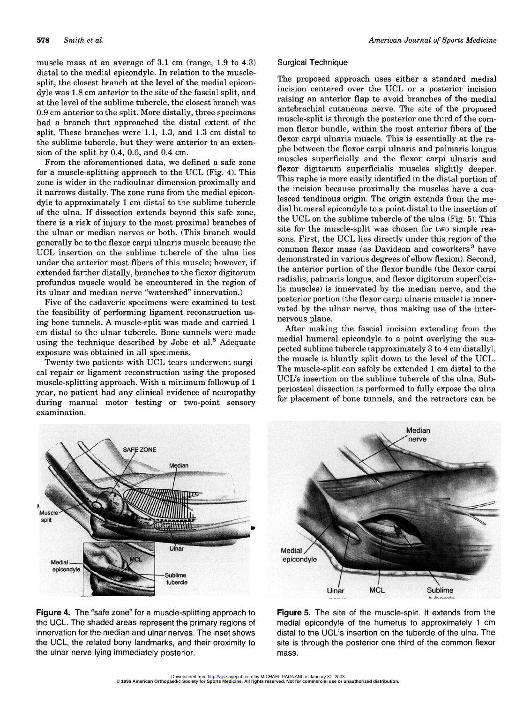muscle mass at an average of 3.1 cm (range, 1.9 to 4.3) distal to the medial epicondyle. In relation to the musclesplit, the closest branch at the level of the medial epicondyle was 1.8 cm anterior to the site of the fascial split, and at the level of the sublime tubercle, the closest branch was 0.9 cm anterior to the split. More distally, three specimens had a branch that approached the distal extent of the split. These branches were 1.1, 1.3, and 1.3 cm distal to the sublime tubercle, but they were anterior to an extension of the split by 0.4, 0.6, and 0.4 cm.

From the aforementioned data, we defined a safe zone for a muscle-splitting approach to the UCL (Fig. 4). This zone is wider in the radioulnar dimension proximally and it narrows distally. The zone runs from the medial epicondyle to approximately 1 cm distal to the sublime tubercle of the ulna. If dissection extends beyond this safe zone, there is a risk of injury to the most proximal branches of the ulnar or median nerves or both. (This branch would generally be to the flexor carpi ulnaris muscle because the UCL insertion on the sublime tubercle of the ulna lies under the anterior most fibers of this muscle; however, if extended farther distally, branches to the flexor digitorum profundus muscle would be encountered in the region of its ulnar and median nerve "watershed" innervation.)

Five of the cadaveric specimens were examined to test the feasibility of performing ligament reconstruction using bone tunnels. A muscle-split was made and carried 1 cm distal to the ulnar tubercle. Bone tunnels were made using the technique described by Jobe et al. $8$  Adequate exposure was obtained in all specimens.

Twenty-two patients with UCL tears underwent surgical repair or ligament reconstruction using the proposed muscle-splitting approach. With a minimum followup of 1 year, no patient had any clinical evidence of neuropathy during manual motor testing or two-point sensory examination.

#### Surgical Technique

The proposed approach uses either a standard medial incision centered over the UCL or a posterior incision raising an anterior flap to avoid branches of the medial antebrachial cutaneous nerve. The site of the proposed muscle-split is through the posterior one third of the common flexor bundle, within the most anterior fibers of the flexor carpi ulnaris muscle. This is essentially at the raphe between the flexor carpi ulnaris and palmaris longus muscles superficially and the flexor carpi ulnaris and flexor digitorum superficialis muscles slightly deeper. This raphe is more easily identified in the distal portion of the incision because proximally the muscles have a coalesced tendinous origin. The origin extends from the medial humeral epicondyle to a point distal to the insertion of the UCL on the sublime tubercle of the ulna (Fig. 5). This site for the muscle-split was chosen for two simple reasons. First, the UCL lies directly under this region of the common flexor mass (as Davidson and coworkers<sup>3</sup> have demonstrated in various degrees of elbow flexion). Second, the anterior portion of the flexor bundle (the flexor carpi radialis, palmaris longus, and flexor digitorum superficialis muscles) is innervated by the median nerve, and the posterior portion (the flexor carpi ulnaris muscle) is innervated by the ulnar nerve, thus making use of the internervous plane.

After making the fascial incision extending from the medial humeral epicondyle to a point overlying the suspected sublime tubercle (approximately 3 to 4 cm distally), the muscle is bluntly split down to the level of the UCL. The muscle-split can safely be extended 1 cm distal to the UCL's insertion on the sublime tubercle of the ulna. Subperiosteal dissection is performed to fully expose the ulna for placement of bone tunnels, and the retractors can be



Figure 4. The "safe zone" for a muscle-splitting approach to the UCL. The shaded areas represent the primary regions of innervation for the median and ulnar nerves. The inset shows the UCL, the related bony landmarks, and their proximity to the ulnar nerve lying immediately posterior.



Figure 5. The site of the muscle-split. It extends from the medial epicondyle of the humerus to approximately 1 cm distal to the UCL's insertion on the tubercle of the ulna. The site is through the posterior one third of the common flexor mass.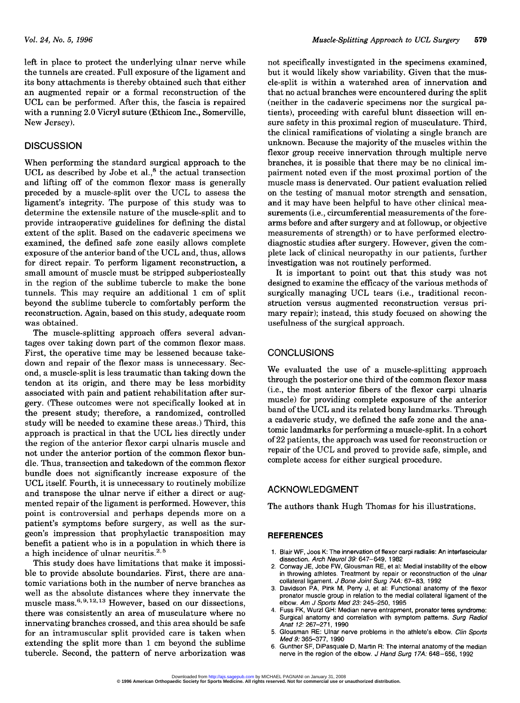left in place to protect the underlying ulnar nerve while the tunnels are created. Full exposure of the ligament and its bony attachments is thereby obtained such that either an augmented repair or a formal reconstruction of the UCL can be performed. After this, the fascia is repaired with a running 2.0 Vicryl suture (Ethicon Inc., Somerville, New Jersey).

#### **DISCUSSION**

When performing the standard surgical approach to the UCL as described by Jobe et al.,<sup>8</sup> the actual transection and lifting off of the common flexor mass is generally preceded by a muscle-split over the UCL to assess the ligament's integrity. The purpose of this study was to determine the extensile nature of the muscle-split and to provide intraoperative guidelines for defining the distal extent of the split. Based on the cadaveric specimens we examined, the defined safe zone easily allows complete exposure of the anterior band of the UCL and, thus, allows for direct repair. To perform ligament reconstruction, a small amount of muscle must be stripped subperiosteally in the region of the sublime tubercle to make the bone tunnels. This may require an additional 1 cm of split beyond the sublime tubercle to comfortably perform the reconstruction. Again, based on this study, adequate room was obtained.

The muscle-splitting approach offers several advantages over taking down part of the common flexor mass. First, the operative time may be lessened because takedown and repair of the flexor mass is unnecessary. Second, a muscle-split is less traumatic than taking down the tendon at its origin, and there may be less morbidity associated with pain and patient rehabilitation after surgery. (These outcomes were not specifically looked at in the present study; therefore, a randomized, controlled study will be needed to examine these areas.) Third, this approach is practical in that the UCL lies directly under the region of the anterior flexor carpi ulnaris muscle and not under the anterior portion of the common flexor bundle. Thus, transection and takedown of the common flexor bundle does not significantly increase exposure of the UCL itself. Fourth, it is unnecessary to routinely mobilize and transpose the ulnar nerve if either a direct or augmented repair of the ligament is performed. However, this point is controversial and perhaps depends more on a patient's symptoms before surgery, as well as the surgeon's impression that prophylactic transposition may benefit a patient who is in a population in which there is a high incidence of ulnar neuritis. $2,5$ 

This study does have limitations that make it impossible to provide absolute boundaries. First, there are anatomic variations both in the number of nerve branches as well as the absolute distances where they innervate the muscle mass.6,9,12,13 However, based on our dissections, there was consistently an area of musculature where no innervating branches crossed, and this area should be safe for an intramuscular split provided care is taken when extending the split more than 1 cm beyond the sublime tubercle. Second, the pattern of nerve arborization was

not specifically investigated in the specimens examined, but it would likely show variability. Given that the muscle-split is within a watershed area of innervation and that no actual branches were encountered during the split (neither in the cadaveric specimens nor the surgical patients), proceeding with careful blunt dissection will ensure safety in this proximal region of musculature. Third, the clinical ramifications of violating a single branch are unknown. Because the majority of the muscles within the flexor group receive innervation through multiple nerve branches, it is possible that there may be no clinical impairment noted even if the most proximal portion of the muscle mass is denervated. Our patient evaluation relied on the testing of manual motor strength and sensation, and it may have been helpful to have other clinical measurements (i.e., circumferential measurements of the forearms before and after surgery and at followup, or objective measurements of strength) or to have performed electrodiagnostic studies after surgery. However, given the complete lack of clinical neuropathy in our patients, further investigation was not routinely performed.

It is important to point out that this study was not designed to examine the efficacy of the various methods of surgically managing UCL tears (i.e., traditional reconstruction versus augmented reconstruction versus primary repair); instead, this study focused on showing the usefulness of the surgical approach.

#### **CONCLUSIONS**

We evaluated the use of a muscle-splitting approach through the posterior one third of the common flexor mass (i.e., the most anterior fibers of the flexor carpi ulnaris muscle) for providing complete exposure of the anterior band of the UCL and its related bony landmarks. Through a cadaveric study, we defined the safe zone and the anatomic landmarks for performing a muscle-split. In a cohort of 22 patients, the approach was used for reconstruction or repair of the UCL and proved to provide safe, simple, and complete access for either surgical procedure.

#### ACKNOWLEDGMENT

The authors thank Hugh Thomas for his illustrations.

#### REFERENCES

- 1. Blair WF, Joos K: The innervation of flexor carpi radialis: An interfascicular dissection. Arch Neurol 39: 647-649, 1982
- 2 Conway JE, Jobe FW, Glousman RE, et al: Medial instability of the elbow in throwing athletes Treatment by repair or reconstruction of the ulnar collateral ligament. J Bone Joint Surg 74A: 67-83, 1992
- 3. Davidson PA, Pink M, Perry J, et al: Functional anatomy of the flexor pronator muscle group in relation to the medial collateral ligament of the elbow. Am J Sports Med 23: 245-250, 1995
- 4. Fuss FK, Wurzl GH: Median nerve entrapment, pronator teres syndrome: Surgical anatomy and correlation with symptom patterns. Surg Radiol Anat 12: 267-271, 1990 pronator muscle group in relation to the medial collateral ligament of the<br>elbow. Am J Sports Med 23: 245-250, 1995<br>4. Fuss FK, Wurzl GH: Median nerve entrapment, pronator teres syndrome:<br>Surgical anatomy and correlation
- 
- 6 Gunther SF, DiPasquale D, Martin R: The internal anatomy of the median nerve in the region of the elbow. J Hand Surg 17A: 648-656, 1992